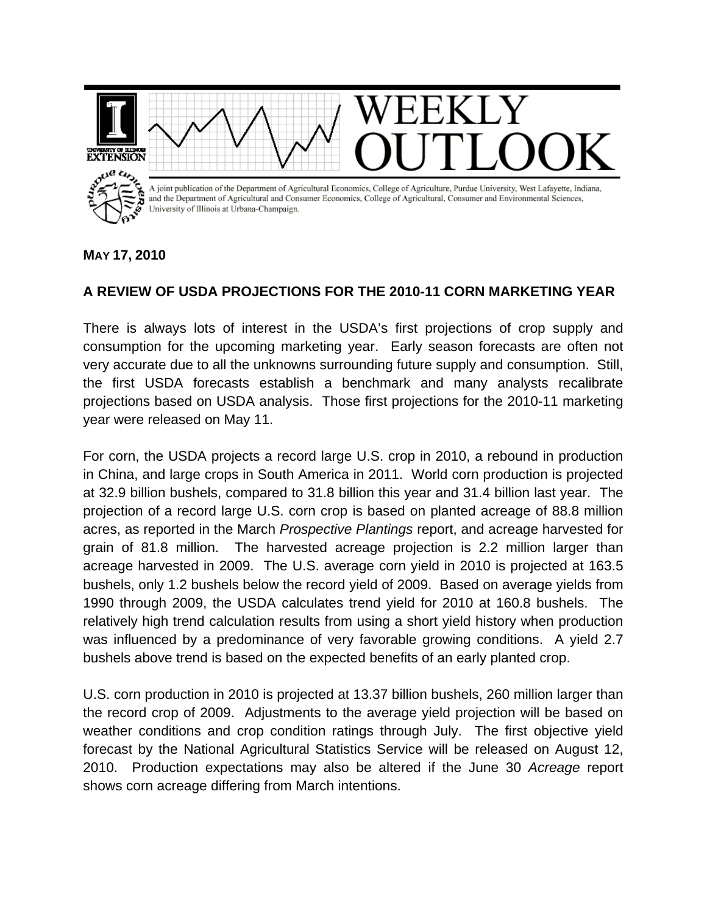

## **MAY 17, 2010**

## **A REVIEW OF USDA PROJECTIONS FOR THE 2010-11 CORN MARKETING YEAR**

There is always lots of interest in the USDA's first projections of crop supply and consumption for the upcoming marketing year. Early season forecasts are often not very accurate due to all the unknowns surrounding future supply and consumption. Still, the first USDA forecasts establish a benchmark and many analysts recalibrate projections based on USDA analysis. Those first projections for the 2010-11 marketing year were released on May 11.

For corn, the USDA projects a record large U.S. crop in 2010, a rebound in production in China, and large crops in South America in 2011. World corn production is projected at 32.9 billion bushels, compared to 31.8 billion this year and 31.4 billion last year. The projection of a record large U.S. corn crop is based on planted acreage of 88.8 million acres, as reported in the March *Prospective Plantings* report, and acreage harvested for grain of 81.8 million. The harvested acreage projection is 2.2 million larger than acreage harvested in 2009. The U.S. average corn yield in 2010 is projected at 163.5 bushels, only 1.2 bushels below the record yield of 2009. Based on average yields from 1990 through 2009, the USDA calculates trend yield for 2010 at 160.8 bushels. The relatively high trend calculation results from using a short yield history when production was influenced by a predominance of very favorable growing conditions. A yield 2.7 bushels above trend is based on the expected benefits of an early planted crop.

U.S. corn production in 2010 is projected at 13.37 billion bushels, 260 million larger than the record crop of 2009. Adjustments to the average yield projection will be based on weather conditions and crop condition ratings through July. The first objective yield forecast by the National Agricultural Statistics Service will be released on August 12, 2010. Production expectations may also be altered if the June 30 *Acreage* report shows corn acreage differing from March intentions.